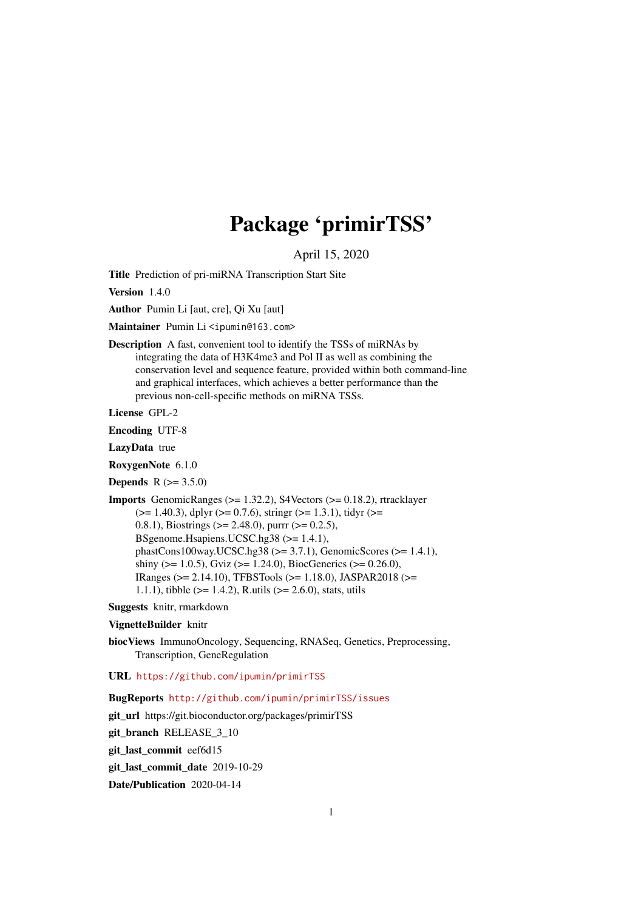## Package 'primirTSS'

April 15, 2020

Title Prediction of pri-miRNA Transcription Start Site

Version 140

Author Pumin Li [aut, cre], Qi Xu [aut]

Maintainer Pumin Li <ipumin@163.com>

Description A fast, convenient tool to identify the TSSs of miRNAs by integrating the data of H3K4me3 and Pol II as well as combining the conservation level and sequence feature, provided within both command-line and graphical interfaces, which achieves a better performance than the previous non-cell-specific methods on miRNA TSSs.

License GPL-2

Encoding UTF-8

LazyData true

RoxygenNote 6.1.0

**Depends**  $R$  ( $> = 3.5.0$ )

```
Imports GenomicRanges (>= 1.32.2), S4Vectors (>= 0.18.2), rtracklayer
      (>= 1.40.3), dplyr (>= 0.7.6), stringr (>= 1.3.1), tidyr (>= 1.40.3)0.8.1), Biostrings (>= 2.48.0), purrr (>= 0.2.5),
      BSgenome.Hsapiens.UCSC.hg38 (>= 1.4.1),
      phastCons100way.UCSC.hg38 (>= 3.7.1), GenomicScores (>= 1.4.1),
      shiny (>= 1.0.5), Gviz (>= 1.24.0), BiocGenerics (>= 0.26.0),
      IRanges (>= 2.14.10), TFBSTools (>= 1.18.0), JASPAR2018 (>=
      1.1.1), tibble (>= 1.4.2), R.utils (>= 2.6.0), stats, utils
```
Suggests knitr, rmarkdown

#### VignetteBuilder knitr

biocViews ImmunoOncology, Sequencing, RNASeq, Genetics, Preprocessing, Transcription, GeneRegulation

#### URL <https://github.com/ipumin/primirTSS>

BugReports <http://github.com/ipumin/primirTSS/issues>

git\_url https://git.bioconductor.org/packages/primirTSS

git\_branch RELEASE\_3\_10

git\_last\_commit eef6d15

git last commit date 2019-10-29

Date/Publication 2020-04-14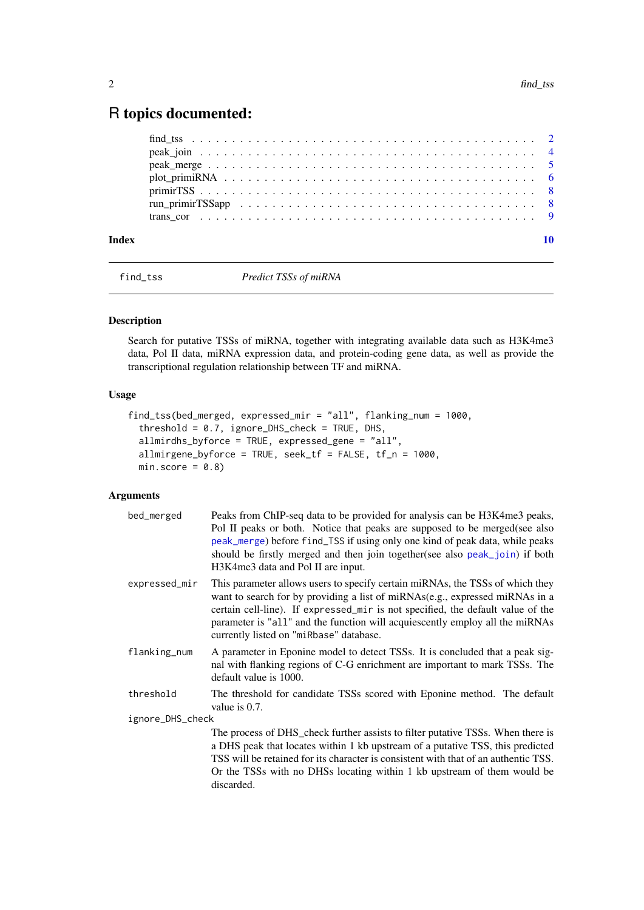## <span id="page-1-0"></span>R topics documented:

| Index | 10 |
|-------|----|
|       |    |
|       |    |
|       |    |
|       |    |
|       |    |
|       |    |

<span id="page-1-1"></span>

find\_tss *Predict TSSs of miRNA*

#### Description

Search for putative TSSs of miRNA, together with integrating available data such as H3K4me3 data, Pol II data, miRNA expression data, and protein-coding gene data, as well as provide the transcriptional regulation relationship between TF and miRNA.

#### Usage

```
find_tss(bed_merged, expressed_mir = "all", flanking_num = 1000,
  threshold = 0.7, ignore_DHS_check = TRUE, DHS,
 allmirdhs_byforce = TRUE, expressed_gene = "all",
 allmirgene_byforce = TRUE, seek_tf = FALSE, tf_n = 1000,
 min_score = 0.8)
```
#### Arguments

| bed_merged       | Peaks from ChIP-seq data to be provided for analysis can be H3K4me3 peaks,<br>Pol II peaks or both. Notice that peaks are supposed to be merged(see also<br>peak_merge) before find_TSS if using only one kind of peak data, while peaks<br>should be firstly merged and then join together(see also peak_join) if both<br>H3K4me3 data and Pol II are input.               |
|------------------|-----------------------------------------------------------------------------------------------------------------------------------------------------------------------------------------------------------------------------------------------------------------------------------------------------------------------------------------------------------------------------|
| expressed_mir    | This parameter allows users to specify certain miRNAs, the TSSs of which they<br>want to search for by providing a list of miRNAs(e.g., expressed miRNAs in a<br>certain cell-line). If expressed_mir is not specified, the default value of the<br>parameter is "all" and the function will acquiescently employ all the miRNAs<br>currently listed on "miRbase" database. |
| flanking_num     | A parameter in Eponine model to detect TSSs. It is concluded that a peak sig-<br>nal with flanking regions of C-G enrichment are important to mark TSSs. The<br>default value is 1000.                                                                                                                                                                                      |
| threshold        | The threshold for candidate TSSs scored with Eponine method. The default<br>value is $0.7$ .                                                                                                                                                                                                                                                                                |
| ignore_DHS_check |                                                                                                                                                                                                                                                                                                                                                                             |
|                  | The process of DHS_check further assists to filter putative TSSs. When there is<br>a DHS peak that locates within 1 kb upstream of a putative TSS, this predicted<br>TSS will be retained for its character is consistent with that of an authentic TSS.<br>Or the TSSs with no DHSs locating within 1 kb upstream of them would be<br>discarded.                           |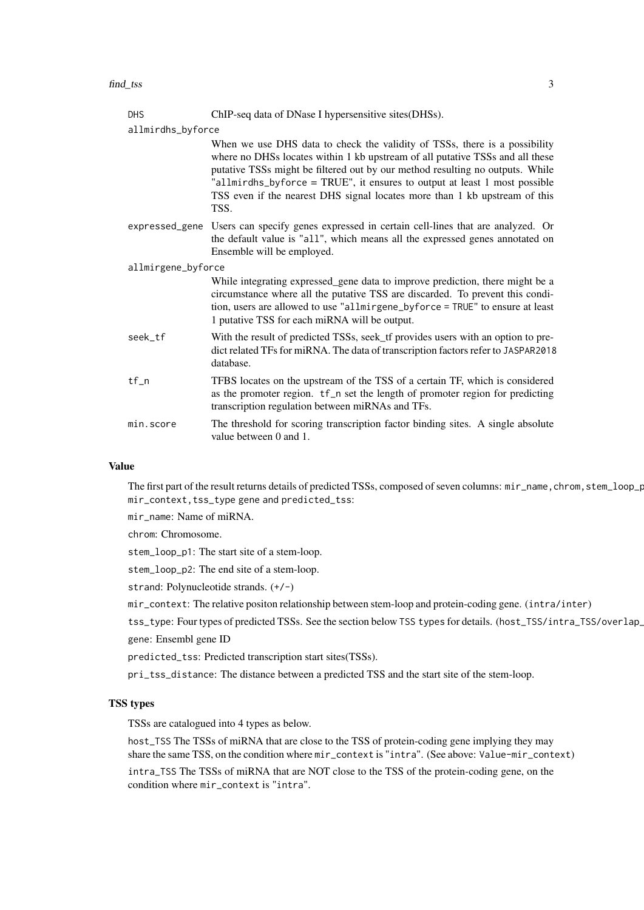DHS ChIP-seq data of DNase I hypersensitive sites(DHSs).

allmirdhs\_byforce

When we use DHS data to check the validity of TSSs, there is a possibility where no DHSs locates within 1 kb upstream of all putative TSSs and all these putative TSSs might be filtered out by our method resulting no outputs. While "allmirdhs\_byforce = TRUE", it ensures to output at least 1 most possible TSS even if the nearest DHS signal locates more than 1 kb upstream of this TSS.

expressed\_gene Users can specify genes expressed in certain cell-lines that are analyzed. Or the default value is "all", which means all the expressed genes annotated on Ensemble will be employed.

allmirgene\_byforce

While integrating expressed gene data to improve prediction, there might be a circumstance where all the putative TSS are discarded. To prevent this condition, users are allowed to use "allmirgene\_byforce = TRUE" to ensure at least 1 putative TSS for each miRNA will be output.

- seek\_tf With the result of predicted TSSs, seek\_tf provides users with an option to predict related TFs for miRNA. The data of transcription factors refer to JASPAR2018 database.
- tf\_n TFBS locates on the upstream of the TSS of a certain TF, which is considered as the promoter region. tf\_n set the length of promoter region for predicting transcription regulation between miRNAs and TFs.
- min.score The threshold for scoring transcription factor binding sites. A single absolute value between 0 and 1.

#### Value

The first part of the result returns details of predicted TSSs, composed of seven columns: mir\_name, chrom, stem\_loop\_p mir\_context,tss\_type gene and predicted\_tss:

mir\_name: Name of miRNA.

chrom: Chromosome.

stem loop p1: The start site of a stem-loop.

stem\_loop\_p2: The end site of a stem-loop.

strand: Polynucleotide strands. (+/-)

mir\_context: The relative positon relationship between stem-loop and protein-coding gene. (intra/inter)

tss\_type: Four types of predicted TSSs. See the section below TSS types for details. (host\_TSS/intra\_TSS/overlap\_ gene: Ensembl gene ID

predicted\_tss: Predicted transcription start sites(TSSs).

pri\_tss\_distance: The distance between a predicted TSS and the start site of the stem-loop.

#### TSS types

TSSs are catalogued into 4 types as below.

host\_TSS The TSSs of miRNA that are close to the TSS of protein-coding gene implying they may share the same TSS, on the condition where mir\_context is "intra". (See above: Value-mir\_context)

intra\_TSS The TSSs of miRNA that are NOT close to the TSS of the protein-coding gene, on the condition where mir\_context is "intra".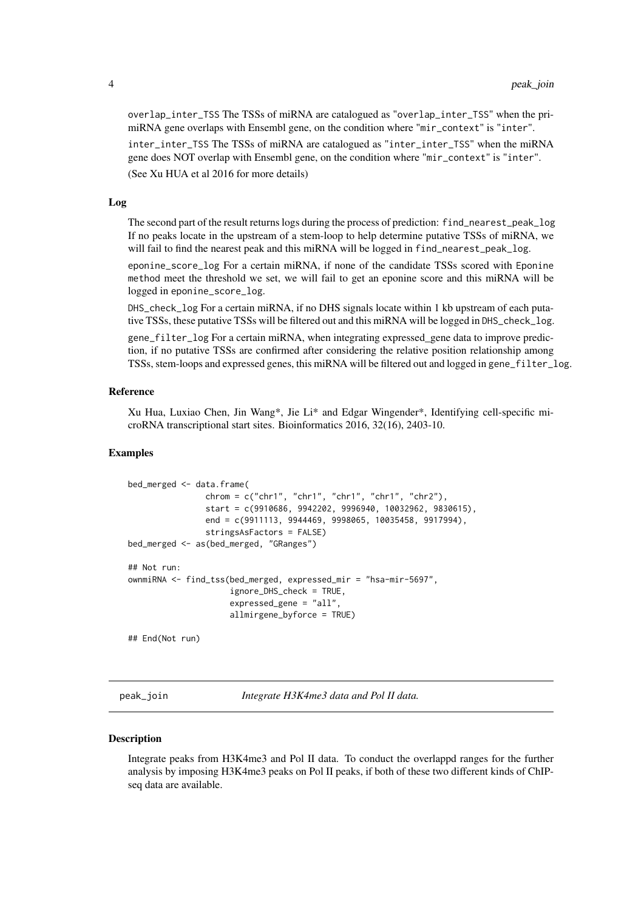overlap\_inter\_TSS The TSSs of miRNA are catalogued as "overlap\_inter\_TSS" when the primiRNA gene overlaps with Ensembl gene, on the condition where "mir\_context" is "inter".

inter\_inter\_TSS The TSSs of miRNA are catalogued as "inter\_inter\_TSS" when the miRNA gene does NOT overlap with Ensembl gene, on the condition where "mir\_context" is "inter".

(See Xu HUA et al 2016 for more details)

#### Log

The second part of the result returns logs during the process of prediction: find\_nearest\_peak\_log If no peaks locate in the upstream of a stem-loop to help determine putative TSSs of miRNA, we will fail to find the nearest peak and this miRNA will be logged in find\_nearest\_peak\_log.

eponine\_score\_log For a certain miRNA, if none of the candidate TSSs scored with Eponine method meet the threshold we set, we will fail to get an eponine score and this miRNA will be logged in eponine\_score\_log.

DHS\_check\_log For a certain miRNA, if no DHS signals locate within 1 kb upstream of each putative TSSs, these putative TSSs will be filtered out and this miRNA will be logged in DHS\_check\_log.

gene\_filter\_log For a certain miRNA, when integrating expressed\_gene data to improve prediction, if no putative TSSs are confirmed after considering the relative position relationship among TSSs, stem-loops and expressed genes, this miRNA will be filtered out and logged in gene\_filter\_log.

#### Reference

Xu Hua, Luxiao Chen, Jin Wang\*, Jie Li\* and Edgar Wingender\*, Identifying cell-specific microRNA transcriptional start sites. Bioinformatics 2016, 32(16), 2403-10.

#### Examples

```
bed_merged <- data.frame(
                chrom = c("chr1", "chr1", "chr1", "chr1", "chr2"),
                start = c(9910686, 9942202, 9996940, 10032962, 9830615),
                end = c(9911113, 9944469, 9998065, 10035458, 9917994),
                stringsAsFactors = FALSE)
bed_merged <- as(bed_merged, "GRanges")
## Not run:
ownmiRNA <- find_tss(bed_merged, expressed_mir = "hsa-mir-5697",
                     ignore_DHS_check = TRUE,
                     expressed_gene = "all",
                     allmirgene_byforce = TRUE)
## End(Not run)
```
<span id="page-3-1"></span>peak\_join *Integrate H3K4me3 data and Pol II data.*

#### Description

Integrate peaks from H3K4me3 and Pol II data. To conduct the overlappd ranges for the further analysis by imposing H3K4me3 peaks on Pol II peaks, if both of these two different kinds of ChIPseq data are available.

<span id="page-3-0"></span>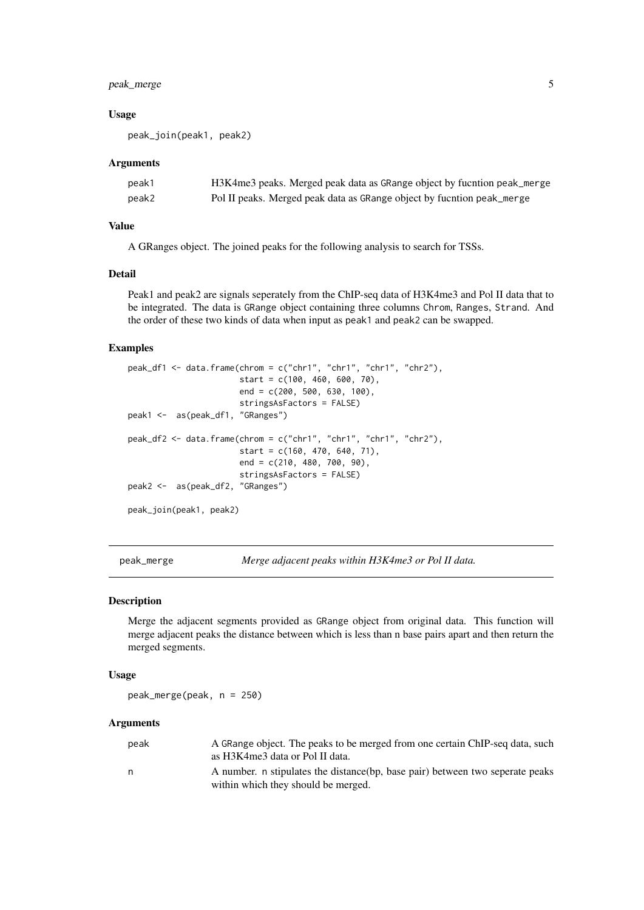#### <span id="page-4-0"></span>peak\_merge 5

#### Usage

peak\_join(peak1, peak2)

#### Arguments

| peak1 | H3K4me3 peaks. Merged peak data as GRange object by fucntion peak_merge |
|-------|-------------------------------------------------------------------------|
| peak2 | Pol II peaks. Merged peak data as GRange object by fucntion peak_merge  |

#### Value

A GRanges object. The joined peaks for the following analysis to search for TSSs.

#### Detail

Peak1 and peak2 are signals seperately from the ChIP-seq data of H3K4me3 and Pol II data that to be integrated. The data is GRange object containing three columns Chrom, Ranges, Strand. And the order of these two kinds of data when input as peak1 and peak2 can be swapped.

#### Examples

```
peak_df1 <- data.frame(chrom = c("chr1", "chr1", "chr1", "chr2"),
                       start = c(100, 460, 600, 70),
                       end = c(200, 500, 630, 100),
                       stringsAsFactors = FALSE)
peak1 <- as(peak_df1, "GRanges")
peak_df2 <- data.frame(chrom = c("chr1", "chr1", "chr1", "chr2"),
                       start = c(160, 470, 640, 71),
                       end = c(210, 480, 700, 90),
                       stringsAsFactors = FALSE)
peak2 <- as(peak_df2, "GRanges")
peak_join(peak1, peak2)
```
<span id="page-4-1"></span>peak\_merge *Merge adjacent peaks within H3K4me3 or Pol II data.*

#### Description

Merge the adjacent segments provided as GRange object from original data. This function will merge adjacent peaks the distance between which is less than n base pairs apart and then return the merged segments.

#### Usage

peak\_merge(peak, n = 250)

#### Arguments

| peak | A GRange object. The peaks to be merged from one certain ChIP-seq data, such   |
|------|--------------------------------------------------------------------------------|
|      | as H3K4me3 data or Pol II data.                                                |
| n    | A number, n stipulates the distance (bp, base pair) between two seperate peaks |
|      | within which they should be merged.                                            |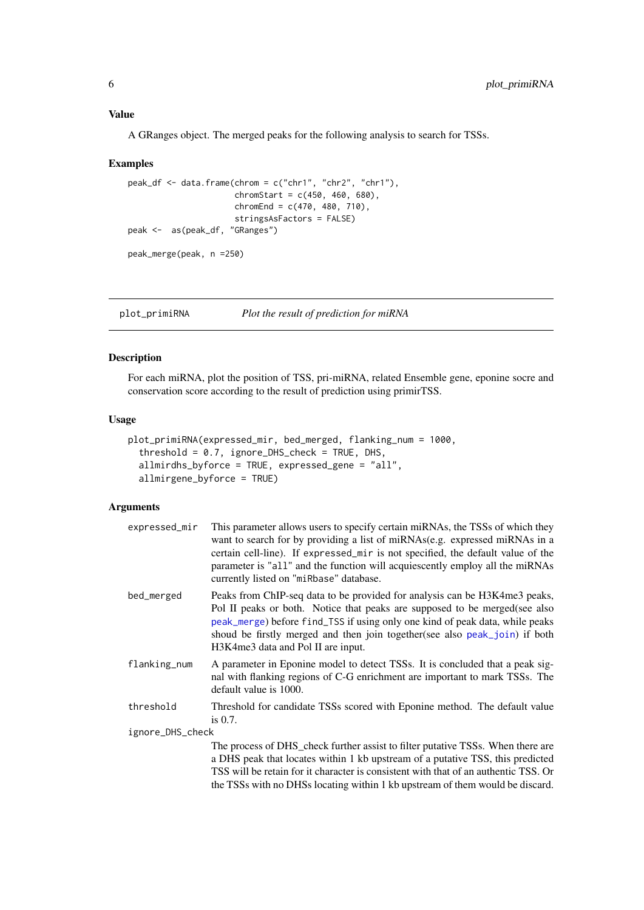#### <span id="page-5-0"></span>Value

A GRanges object. The merged peaks for the following analysis to search for TSSs.

#### Examples

```
peak_df <- data.frame(chrom = c("chr1", "chr2", "chr1"),
                      chromStart = c(450, 460, 680),
                      chromEnd = c(470, 480, 710),
                      stringsAsFactors = FALSE)
peak <- as(peak_df, "GRanges")
peak_merge(peak, n =250)
```
<span id="page-5-1"></span>plot\_primiRNA *Plot the result of prediction for miRNA*

#### Description

For each miRNA, plot the position of TSS, pri-miRNA, related Ensemble gene, eponine socre and conservation score according to the result of prediction using primirTSS.

### Usage

```
plot_primiRNA(expressed_mir, bed_merged, flanking_num = 1000,
  threshold = 0.7, ignore_DHS_check = TRUE, DHS,
 allmirdhs_byforce = TRUE, expressed_gene = "all",
 allmirgene_byforce = TRUE)
```
#### Arguments

| expressed_mir    | This parameter allows users to specify certain miRNAs, the TSSs of which they<br>want to search for by providing a list of miRNAs(e.g. expressed miRNAs in a<br>certain cell-line). If expressed_mir is not specified, the default value of the<br>parameter is "all" and the function will acquiescently employ all the miRNAs<br>currently listed on "miRbase" database. |
|------------------|----------------------------------------------------------------------------------------------------------------------------------------------------------------------------------------------------------------------------------------------------------------------------------------------------------------------------------------------------------------------------|
| bed_merged       | Peaks from ChIP-seq data to be provided for analysis can be H3K4me3 peaks,<br>Pol II peaks or both. Notice that peaks are supposed to be merged(see also<br>peak_merge) before find_TSS if using only one kind of peak data, while peaks<br>shoud be firstly merged and then join together(see also peak_join) if both<br>H3K4me3 data and Pol II are input.               |
| flanking_num     | A parameter in Eponine model to detect TSSs. It is concluded that a peak sig-<br>nal with flanking regions of C-G enrichment are important to mark TSSs. The<br>default value is 1000.                                                                                                                                                                                     |
| threshold        | Threshold for candidate TSSs scored with Eponine method. The default value<br>is $0.7$ .                                                                                                                                                                                                                                                                                   |
| ignore_DHS_check |                                                                                                                                                                                                                                                                                                                                                                            |
|                  | The process of DHS_check further assist to filter putative TSSs. When there are<br>a DHS peak that locates within 1 kb upstream of a putative TSS, this predicted                                                                                                                                                                                                          |

TSS will be retain for it character is consistent with that of an authentic TSS. Or the TSSs with no DHSs locating within 1 kb upstream of them would be discard.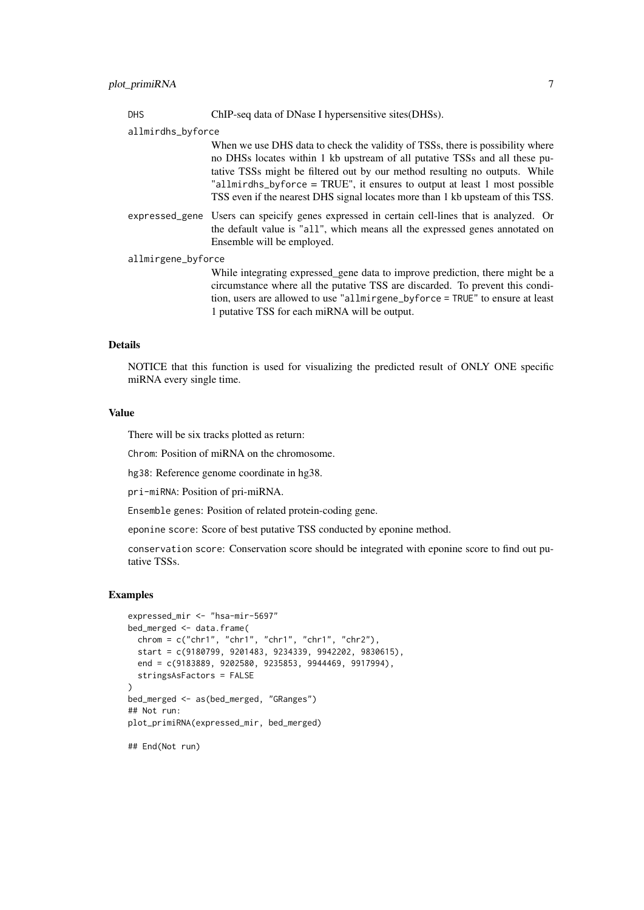DHS ChIP-seq data of DNase I hypersensitive sites(DHSs).

allmirdhs\_byforce

When we use DHS data to check the validity of TSSs, there is possibility where no DHSs locates within 1 kb upstream of all putative TSSs and all these putative TSSs might be filtered out by our method resulting no outputs. While "allmirdhs\_byforce = TRUE", it ensures to output at least 1 most possible TSS even if the nearest DHS signal locates more than 1 kb upsteam of this TSS.

expressed\_gene Users can speicify genes expressed in certain cell-lines that is analyzed. Or the default value is "all", which means all the expressed genes annotated on Ensemble will be employed.

allmirgene\_byforce

While integrating expressed gene data to improve prediction, there might be a circumstance where all the putative TSS are discarded. To prevent this condition, users are allowed to use "allmirgene\_byforce = TRUE" to ensure at least 1 putative TSS for each miRNA will be output.

#### Details

NOTICE that this function is used for visualizing the predicted result of ONLY ONE specific miRNA every single time.

#### Value

There will be six tracks plotted as return:

Chrom: Position of miRNA on the chromosome.

hg38: Reference genome coordinate in hg38.

pri-miRNA: Position of pri-miRNA.

Ensemble genes: Position of related protein-coding gene.

eponine score: Score of best putative TSS conducted by eponine method.

conservation score: Conservation score should be integrated with eponine score to find out putative TSSs.

#### Examples

```
expressed_mir <- "hsa-mir-5697"
bed_merged <- data.frame(
  chrom = c("chr1", "chr1", "chr1", "chr1", "chr2"),start = c(9180799, 9201483, 9234339, 9942202, 9830615),
  end = c(9183889, 9202580, 9235853, 9944469, 9917994),
  stringsAsFactors = FALSE
)
bed_merged <- as(bed_merged, "GRanges")
## Not run:
plot_primiRNA(expressed_mir, bed_merged)
```
## End(Not run)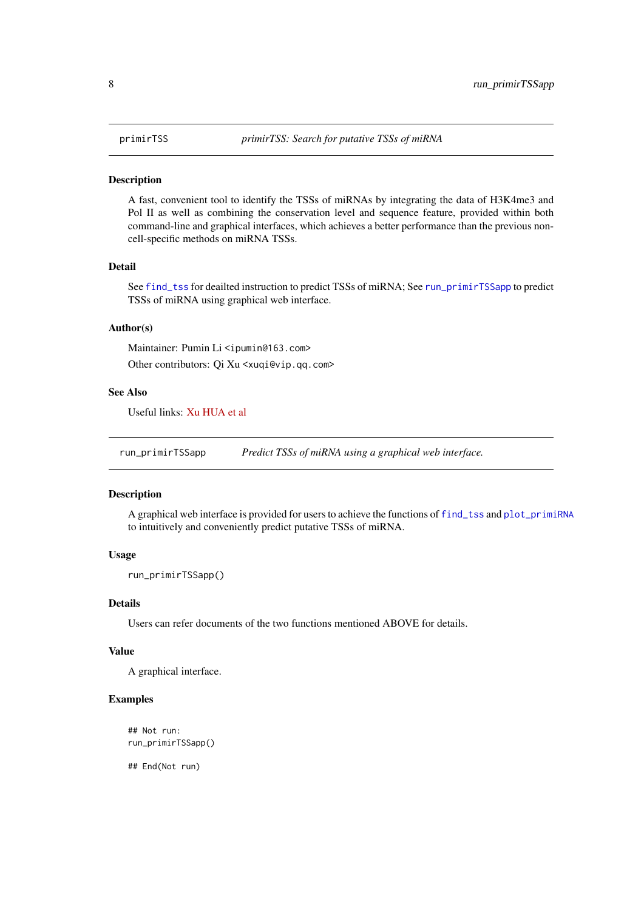#### <span id="page-7-0"></span>Description

A fast, convenient tool to identify the TSSs of miRNAs by integrating the data of H3K4me3 and Pol II as well as combining the conservation level and sequence feature, provided within both command-line and graphical interfaces, which achieves a better performance than the previous noncell-specific methods on miRNA TSSs.

#### Detail

See [find\\_tss](#page-1-1) for deailted instruction to predict TSSs of miRNA; See [run\\_primirTSSapp](#page-7-1) to predict TSSs of miRNA using graphical web interface.

#### Author(s)

Maintainer: Pumin Li <ipumin@163.com> Other contributors: Qi Xu <xuqi@vip.qq.com>

#### See Also

Useful links: [Xu HUA et al](https://academic.oup.com/bioinformatics/article-lookup/doi/10.1093/bioinformatics/btw171)

<span id="page-7-1"></span>run\_primirTSSapp *Predict TSSs of miRNA using a graphical web interface.*

### Description

A graphical web interface is provided for users to achieve the functions of [find\\_tss](#page-1-1) and [plot\\_primiRNA](#page-5-1) to intuitively and conveniently predict putative TSSs of miRNA.

#### Usage

```
run_primirTSSapp()
```
#### Details

Users can refer documents of the two functions mentioned ABOVE for details.

#### Value

A graphical interface.

#### Examples

```
## Not run:
run_primirTSSapp()
```
## End(Not run)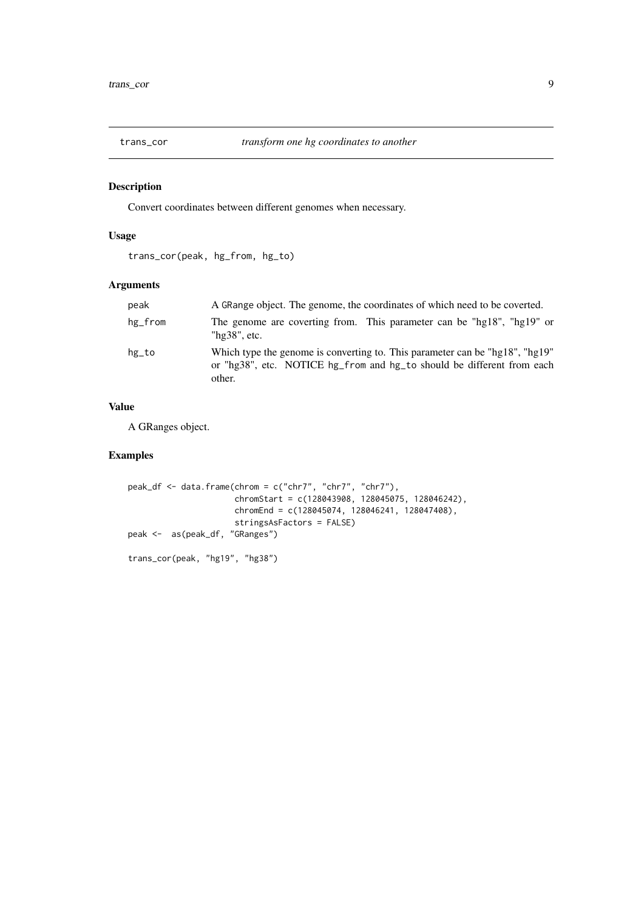<span id="page-8-0"></span>

#### Description

Convert coordinates between different genomes when necessary.

#### Usage

trans\_cor(peak, hg\_from, hg\_to)

#### Arguments

| peak    | A GRange object. The genome, the coordinates of which need to be coverted.                                                                                       |
|---------|------------------------------------------------------------------------------------------------------------------------------------------------------------------|
| hg_from | The genome are coverting from. This parameter can be "hg18", "hg19" or<br>" $hg38"$ , etc.                                                                       |
| hg_to   | Which type the genome is converting to. This parameter can be "hg18", "hg19"<br>or "hg38", etc. NOTICE hg_from and hg_to should be different from each<br>other. |

#### Value

A GRanges object.

### Examples

```
peak_df <- data.frame(chrom = c("chr7", "chr7", "chr7"),
                      chromStart = c(128043908, 128045075, 128046242),
                      chromEnd = c(128045074, 128046241, 128047408),
                      stringsAsFactors = FALSE)
peak <- as(peak_df, "GRanges")
trans_cor(peak, "hg19", "hg38")
```